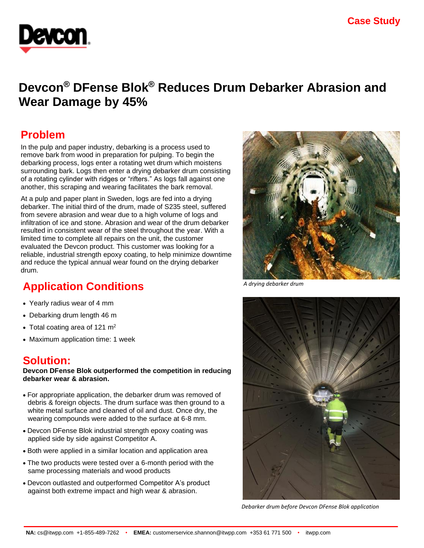

# **Devcon® DFense Blok® Reduces Drum Debarker Abrasion and Wear Damage by 45%**

### **Problem**

In the pulp and paper industry, debarking is a process used to remove bark from wood in preparation for pulping. To begin the debarking process, logs enter a rotating wet drum which moistens surrounding bark. Logs then enter a drying debarker drum consisting of a rotating cylinder with ridges or "rifters." As logs fall against one another, this scraping and wearing facilitates the bark removal.

At a pulp and paper plant in Sweden, logs are fed into a drying debarker. The initial third of the drum, made of S235 steel, suffered from severe abrasion and wear due to a high volume of logs and infiltration of ice and stone. Abrasion and wear of the drum debarker resulted in consistent wear of the steel throughout the year. With a limited time to complete all repairs on the unit, the customer evaluated the Devcon product. This customer was looking for a reliable, industrial strength epoxy coating, to help minimize downtime and reduce the typical annual wear found on the drying debarker drum.

## **Application Conditions**

- Yearly radius wear of 4 mm
- Debarking drum length 46 m
- Total coating area of 121  $m<sup>2</sup>$
- Maximum application time: 1 week

### **Solution:**

**Devcon DFense Blok outperformed the competition in reducing debarker wear & abrasion.**

- For appropriate application, the debarker drum was removed of debris & foreign objects. The drum surface was then ground to a white metal surface and cleaned of oil and dust. Once dry, the wearing compounds were added to the surface at 6-8 mm.
- Devcon DFense Blok industrial strength epoxy coating was applied side by side against Competitor A.
- Both were applied in a similar location and application area
- The two products were tested over a 6-month period with the same processing materials and wood products
- Devcon outlasted and outperformed Competitor A's product against both extreme impact and high wear & abrasion.



*A drying debarker drum* 



*Debarker drum before Devcon DFense Blok application*